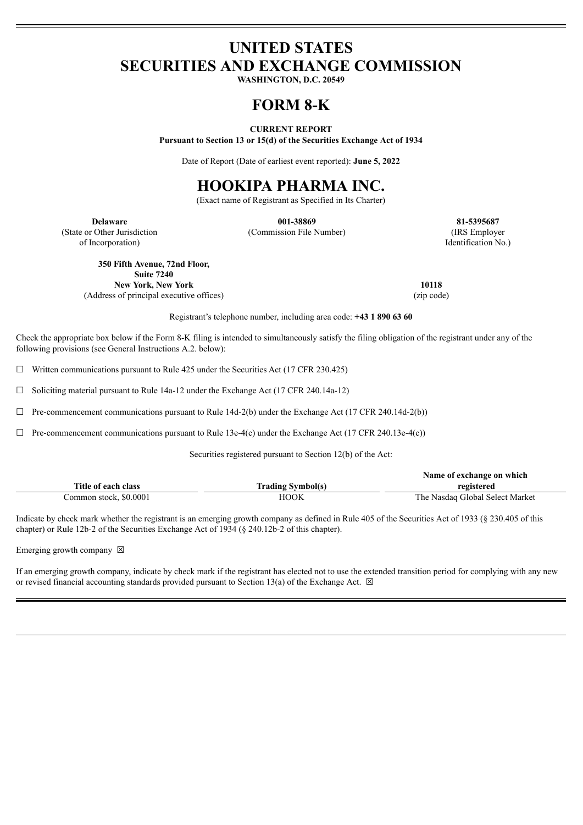# **UNITED STATES SECURITIES AND EXCHANGE COMMISSION**

**WASHINGTON, D.C. 20549**

# **FORM 8-K**

## **CURRENT REPORT**

**Pursuant to Section 13 or 15(d) of the Securities Exchange Act of 1934**

Date of Report (Date of earliest event reported): **June 5, 2022**

# **HOOKIPA PHARMA INC.**

(Exact name of Registrant as Specified in Its Charter)

(State or Other Jurisdiction of Incorporation)

**Delaware 001-38869 81-5395687** (Commission File Number) (IRS Employer

Identification No.)

**350 Fifth Avenue, 72nd Floor,**

**Suite 7240 New York, New York 10118**

(Address of principal executive offices) (zip code)

Registrant's telephone number, including area code: **+43 1 890 63 60**

Check the appropriate box below if the Form 8-K filing is intended to simultaneously satisfy the filing obligation of the registrant under any of the following provisions (see General Instructions A.2. below):

 $\Box$  Written communications pursuant to Rule 425 under the Securities Act (17 CFR 230.425)

☐ Soliciting material pursuant to Rule 14a-12 under the Exchange Act (17 CFR 240.14a-12)

 $\Box$  Pre-commencement communications pursuant to Rule 14d-2(b) under the Exchange Act (17 CFR 240.14d-2(b))

☐ Pre-commencement communications pursuant to Rule 13e-4(c) under the Exchange Act (17 CFR 240.13e-4(c))

Securities registered pursuant to Section 12(b) of the Act:

|                        |                          | Name of exchange on which       |
|------------------------|--------------------------|---------------------------------|
| Title of each class    | <b>Trading Symbol(s)</b> | registered                      |
| Common stock, \$0.0001 | ноок                     | The Nasdaq Global Select Market |

Indicate by check mark whether the registrant is an emerging growth company as defined in Rule 405 of the Securities Act of 1933 (§ 230.405 of this chapter) or Rule 12b-2 of the Securities Exchange Act of 1934 (§ 240.12b-2 of this chapter).

Emerging growth company  $\boxtimes$ 

If an emerging growth company, indicate by check mark if the registrant has elected not to use the extended transition period for complying with any new or revised financial accounting standards provided pursuant to Section 13(a) of the Exchange Act.  $\boxtimes$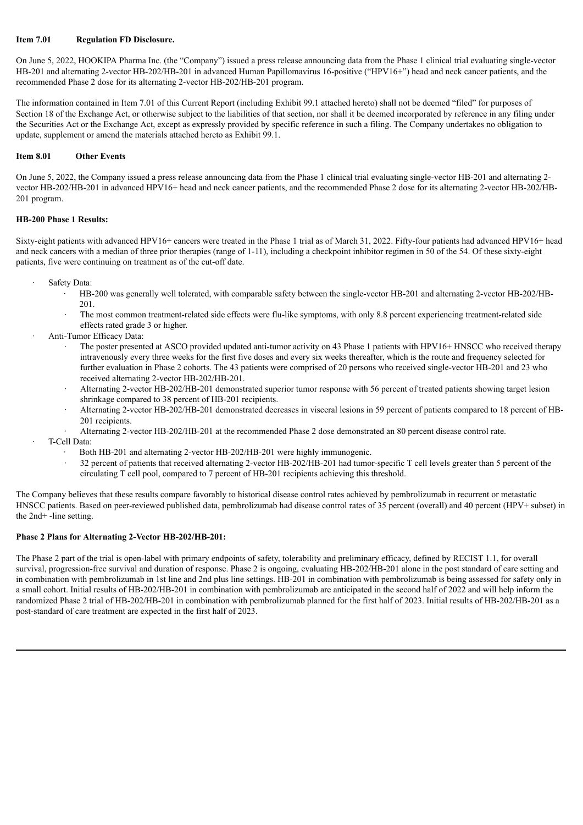# **Item 7.01 Regulation FD Disclosure.**

On June 5, 2022, HOOKIPA Pharma Inc. (the "Company") issued a press release announcing data from the Phase 1 clinical trial evaluating single-vector HB-201 and alternating 2-vector HB-202/HB-201 in advanced Human Papillomavirus 16-positive ("HPV16+") head and neck cancer patients, and the recommended Phase 2 dose for its alternating 2-vector HB-202/HB-201 program.

The information contained in Item 7.01 of this Current Report (including Exhibit 99.1 attached hereto) shall not be deemed "filed" for purposes of Section 18 of the Exchange Act, or otherwise subject to the liabilities of that section, nor shall it be deemed incorporated by reference in any filing under the Securities Act or the Exchange Act, except as expressly provided by specific reference in such a filing. The Company undertakes no obligation to update, supplement or amend the materials attached hereto as Exhibit 99.1.

## **Item 8.01 Other Events**

On June 5, 2022, the Company issued a press release announcing data from the Phase 1 clinical trial evaluating single-vector HB-201 and alternating 2 vector HB-202/HB-201 in advanced HPV16+ head and neck cancer patients, and the recommended Phase 2 dose for its alternating 2-vector HB-202/HB-201 program.

## **HB-200 Phase 1 Results:**

Sixty-eight patients with advanced HPV16+ cancers were treated in the Phase 1 trial as of March 31, 2022. Fifty-four patients had advanced HPV16+ head and neck cancers with a median of three prior therapies (range of 1-11), including a checkpoint inhibitor regimen in 50 of the 54. Of these sixty-eight patients, five were continuing on treatment as of the cut-off date.

- Safety Data:
	- · HB-200 was generally well tolerated, with comparable safety between the single-vector HB-201 and alternating 2-vector HB-202/HB-201.
	- The most common treatment-related side effects were flu-like symptoms, with only 8.8 percent experiencing treatment-related side effects rated grade 3 or higher.
- · Anti-Tumor Efficacy Data:
	- The poster presented at ASCO provided updated anti-tumor activity on 43 Phase 1 patients with HPV16+ HNSCC who received therapy intravenously every three weeks for the first five doses and every six weeks thereafter, which is the route and frequency selected for further evaluation in Phase 2 cohorts. The 43 patients were comprised of 20 persons who received single-vector HB-201 and 23 who received alternating 2-vector HB-202/HB-201.
	- Alternating 2-vector HB-202/HB-201 demonstrated superior tumor response with 56 percent of treated patients showing target lesion shrinkage compared to 38 percent of HB-201 recipients.
	- · Alternating 2-vector HB-202/HB-201 demonstrated decreases in visceral lesions in 59 percent of patients compared to 18 percent of HB-201 recipients.
	- · Alternating 2-vector HB-202/HB-201 at the recommended Phase 2 dose demonstrated an 80 percent disease control rate.
- · T-Cell Data:
	- Both HB-201 and alternating 2-vector HB-202/HB-201 were highly immunogenic.
	- · 32 percent of patients that received alternating 2-vector HB-202/HB-201 had tumor-specific T cell levels greater than 5 percent of the circulating T cell pool, compared to 7 percent of HB-201 recipients achieving this threshold.

The Company believes that these results compare favorably to historical disease control rates achieved by pembrolizumab in recurrent or metastatic HNSCC patients. Based on peer-reviewed published data, pembrolizumab had disease control rates of 35 percent (overall) and 40 percent (HPV+ subset) in the 2nd+ -line setting.

# **Phase 2 Plans for Alternating 2-Vector HB-202/HB-201:**

The Phase 2 part of the trial is open-label with primary endpoints of safety, tolerability and preliminary efficacy, defined by RECIST 1.1, for overall survival, progression-free survival and duration of response. Phase 2 is ongoing, evaluating HB-202/HB-201 alone in the post standard of care setting and in combination with pembrolizumab in 1st line and 2nd plus line settings. HB-201 in combination with pembrolizumab is being assessed for safety only in a small cohort. Initial results of HB-202/HB-201 in combination with pembrolizumab are anticipated in the second half of 2022 and will help inform the randomized Phase 2 trial of HB-202/HB-201 in combination with pembrolizumab planned for the first half of 2023. Initial results of HB-202/HB-201 as a post-standard of care treatment are expected in the first half of 2023.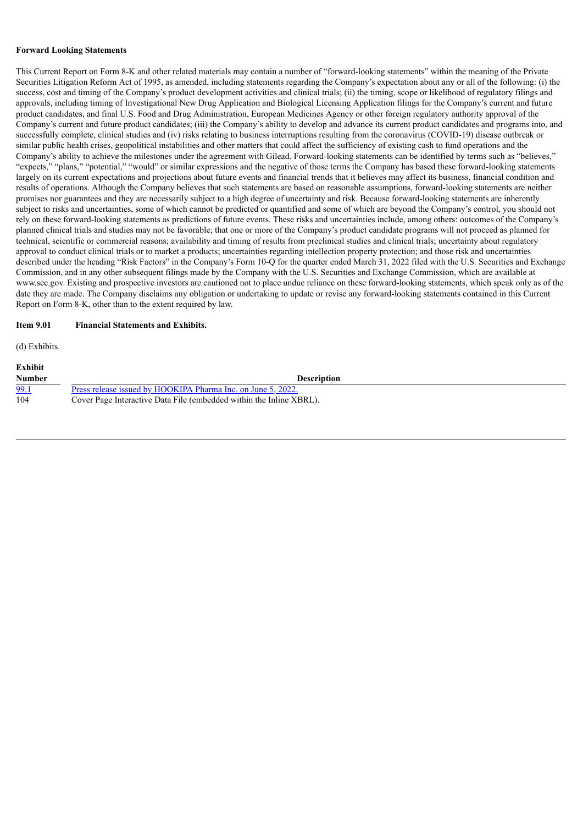### **Forward Looking Statements**

This Current Report on Form 8-K and other related materials may contain a number of "forward-looking statements" within the meaning of the Private Securities Litigation Reform Act of 1995, as amended, including statements regarding the Company's expectation about any or all of the following: (i) the success, cost and timing of the Company's product development activities and clinical trials; (ii) the timing, scope or likelihood of regulatory filings and approvals, including timing of Investigational New Drug Application and Biological Licensing Application filings for the Company's current and future product candidates, and final U.S. Food and Drug Administration, European Medicines Agency or other foreign regulatory authority approval of the Company's current and future product candidates; (iii) the Company's ability to develop and advance its current product candidates and programs into, and successfully complete, clinical studies and (iv) risks relating to business interruptions resulting from the coronavirus (COVID-19) disease outbreak or similar public health crises, geopolitical instabilities and other matters that could affect the sufficiency of existing cash to fund operations and the Company's ability to achieve the milestones under the agreement with Gilead. Forward-looking statements can be identified by terms such as "believes," "expects," "plans," "potential," "would" or similar expressions and the negative of those terms the Company has based these forward-looking statements largely on its current expectations and projections about future events and financial trends that it believes may affect its business, financial condition and results of operations. Although the Company believes that such statements are based on reasonable assumptions, forward-looking statements are neither promises nor guarantees and they are necessarily subject to a high degree of uncertainty and risk. Because forward-looking statements are inherently subject to risks and uncertainties, some of which cannot be predicted or quantified and some of which are beyond the Company's control, you should not rely on these forward-looking statements as predictions of future events. These risks and uncertainties include, among others: outcomes of the Company's planned clinical trials and studies may not be favorable; that one or more of the Company's product candidate programs will not proceed as planned for technical, scientific or commercial reasons; availability and timing of results from preclinical studies and clinical trials; uncertainty about regulatory approval to conduct clinical trials or to market a products; uncertainties regarding intellection property protection; and those risk and uncertainties described under the heading "Risk Factors" in the Company's Form 10-Q for the quarter ended March 31, 2022 filed with the U.S. Securities and Exchange Commission, and in any other subsequent filings made by the Company with the U.S. Securities and Exchange Commission, which are available at www.sec.gov. Existing and prospective investors are cautioned not to place undue reliance on these forward-looking statements, which speak only as of the date they are made. The Company disclaims any obligation or undertaking to update or revise any forward-looking statements contained in this Current Report on Form 8-K, other than to the extent required by law.

## **Item 9.01 Financial Statements and Exhibits.**

(d) Exhibits.

| Exhibit       |                                                                     |
|---------------|---------------------------------------------------------------------|
| <b>Number</b> | <b>Description</b>                                                  |
| <u>99.1</u>   | Press release issued by HOOKIPA Pharma Inc. on June 5, 2022.        |
| 104           | Cover Page Interactive Data File (embedded within the Inline XBRL). |
|               |                                                                     |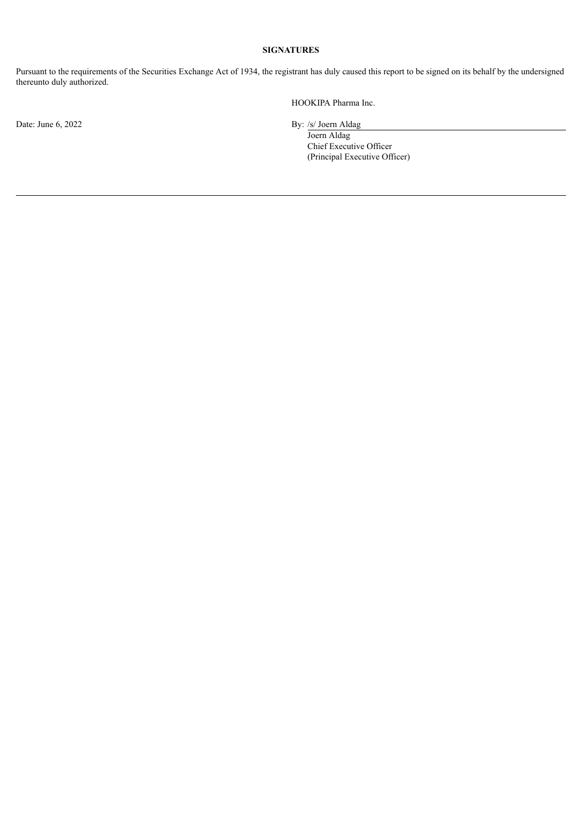# **SIGNATURES**

Pursuant to the requirements of the Securities Exchange Act of 1934, the registrant has duly caused this report to be signed on its behalf by the undersigned thereunto duly authorized.

Date: June 6, 2022 By: /s/ Joern Aldag

HOOKIPA Pharma Inc.

Joern Aldag Chief Executive Officer (Principal Executive Officer)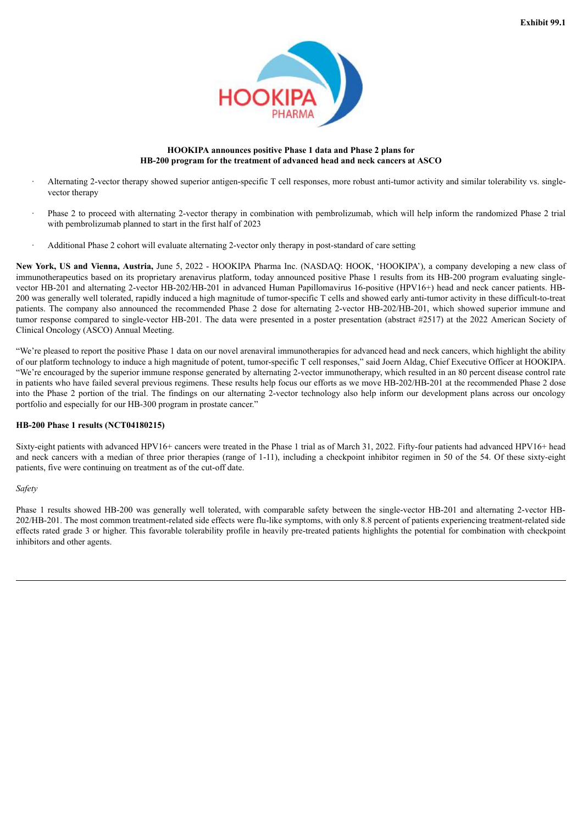

## **HOOKIPA announces positive Phase 1 data and Phase 2 plans for HB-200 program for the treatment of advanced head and neck cancers at ASCO**

- <span id="page-4-0"></span>Alternating 2-vector therapy showed superior antigen-specific T cell responses, more robust anti-tumor activity and similar tolerability vs. singlevector therapy
- · Phase 2 to proceed with alternating 2-vector therapy in combination with pembrolizumab, which will help inform the randomized Phase 2 trial with pembrolizumab planned to start in the first half of 2023
- · Additional Phase 2 cohort will evaluate alternating 2-vector only therapy in post-standard of care setting

**New York, US and Vienna, Austria,** June 5, 2022 - HOOKIPA Pharma Inc. (NASDAQ: HOOK, 'HOOKIPA'), a company developing a new class of immunotherapeutics based on its proprietary arenavirus platform, today announced positive Phase 1 results from its HB-200 program evaluating singlevector HB-201 and alternating 2-vector HB-202/HB-201 in advanced Human Papillomavirus 16-positive (HPV16+) head and neck cancer patients. HB-200 was generally well tolerated, rapidly induced a high magnitude of tumor-specific T cells and showed early anti-tumor activity in these difficult-to-treat patients. The company also announced the recommended Phase 2 dose for alternating 2-vector HB-202/HB-201, which showed superior immune and tumor response compared to single-vector HB-201. The data were presented in a poster presentation (abstract #2517) at the 2022 American Society of Clinical Oncology (ASCO) Annual Meeting.

"We're pleased to report the positive Phase 1 data on our novel arenaviral immunotherapies for advanced head and neck cancers, which highlight the ability of our platform technology to induce a high magnitude of potent, tumor-specific T cell responses," said Joern Aldag, Chief Executive Officer at HOOKIPA. "We're encouraged by the superior immune response generated by alternating 2-vector immunotherapy, which resulted in an 80 percent disease control rate in patients who have failed several previous regimens. These results help focus our efforts as we move HB-202/HB-201 at the recommended Phase 2 dose into the Phase 2 portion of the trial. The findings on our alternating 2-vector technology also help inform our development plans across our oncology portfolio and especially for our HB-300 program in prostate cancer."

## **HB-200 Phase 1 results (NCT04180215)**

Sixty-eight patients with advanced HPV16+ cancers were treated in the Phase 1 trial as of March 31, 2022. Fifty-four patients had advanced HPV16+ head and neck cancers with a median of three prior therapies (range of 1-11), including a checkpoint inhibitor regimen in 50 of the 54. Of these sixty-eight patients, five were continuing on treatment as of the cut-off date.

*Safety*

Phase 1 results showed HB-200 was generally well tolerated, with comparable safety between the single-vector HB-201 and alternating 2-vector HB-202/HB-201. The most common treatment-related side effects were flu-like symptoms, with only 8.8 percent of patients experiencing treatment-related side effects rated grade 3 or higher. This favorable tolerability profile in heavily pre-treated patients highlights the potential for combination with checkpoint inhibitors and other agents.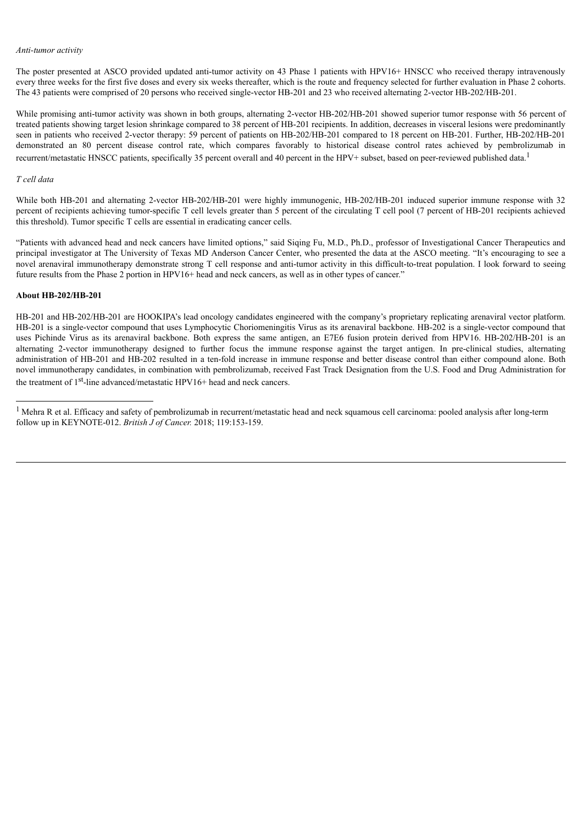### *Anti-tumor activity*

The poster presented at ASCO provided updated anti-tumor activity on 43 Phase 1 patients with HPV16+ HNSCC who received therapy intravenously every three weeks for the first five doses and every six weeks thereafter, which is the route and frequency selected for further evaluation in Phase 2 cohorts. The 43 patients were comprised of 20 persons who received single-vector HB-201 and 23 who received alternating 2-vector HB-202/HB-201.

While promising anti-tumor activity was shown in both groups, alternating 2-vector HB-202/HB-201 showed superior tumor response with 56 percent of treated patients showing target lesion shrinkage compared to 38 percent of HB-201 recipients. In addition, decreases in visceral lesions were predominantly seen in patients who received 2-vector therapy: 59 percent of patients on HB-202/HB-201 compared to 18 percent on HB-201. Further, HB-202/HB-201 demonstrated an 80 percent disease control rate, which compares favorably to historical disease control rates achieved by pembrolizumab in recurrent/metastatic HNSCC patients, specifically 35 percent overall and 40 percent in the HPV+ subset, based on peer-reviewed published data.<sup>1</sup>

### *T cell data*

While both HB-201 and alternating 2-vector HB-202/HB-201 were highly immunogenic, HB-202/HB-201 induced superior immune response with 32 percent of recipients achieving tumor-specific T cell levels greater than 5 percent of the circulating T cell pool (7 percent of HB-201 recipients achieved this threshold). Tumor specific T cells are essential in eradicating cancer cells.

"Patients with advanced head and neck cancers have limited options," said Siqing Fu, M.D., Ph.D., professor of Investigational Cancer Therapeutics and principal investigator at The University of Texas MD Anderson Cancer Center, who presented the data at the ASCO meeting. "It's encouraging to see a novel arenaviral immunotherapy demonstrate strong T cell response and anti-tumor activity in this difficult-to-treat population. I look forward to seeing future results from the Phase 2 portion in HPV16+ head and neck cancers, as well as in other types of cancer."

# **About HB-202/HB-201**

HB-201 and HB-202/HB-201 are HOOKIPA's lead oncology candidates engineered with the company's proprietary replicating arenaviral vector platform. HB-201 is a single-vector compound that uses Lymphocytic Choriomeningitis Virus as its arenaviral backbone. HB-202 is a single-vector compound that uses Pichinde Virus as its arenaviral backbone. Both express the same antigen, an E7E6 fusion protein derived from HPV16. HB-202/HB-201 is an alternating 2-vector immunotherapy designed to further focus the immune response against the target antigen. In pre-clinical studies, alternating administration of HB-201 and HB-202 resulted in a ten-fold increase in immune response and better disease control than either compound alone. Both novel immunotherapy candidates, in combination with pembrolizumab, received Fast Track Designation from the U.S. Food and Drug Administration for the treatment of 1<sup>st</sup>-line advanced/metastatic HPV16+ head and neck cancers.

<sup>&</sup>lt;sup>1</sup> Mehra R et al. Efficacy and safety of pembrolizumab in recurrent/metastatic head and neck squamous cell carcinoma: pooled analysis after long-term follow up in KEYNOTE-012. *British J of Cancer.* 2018; 119:153-159.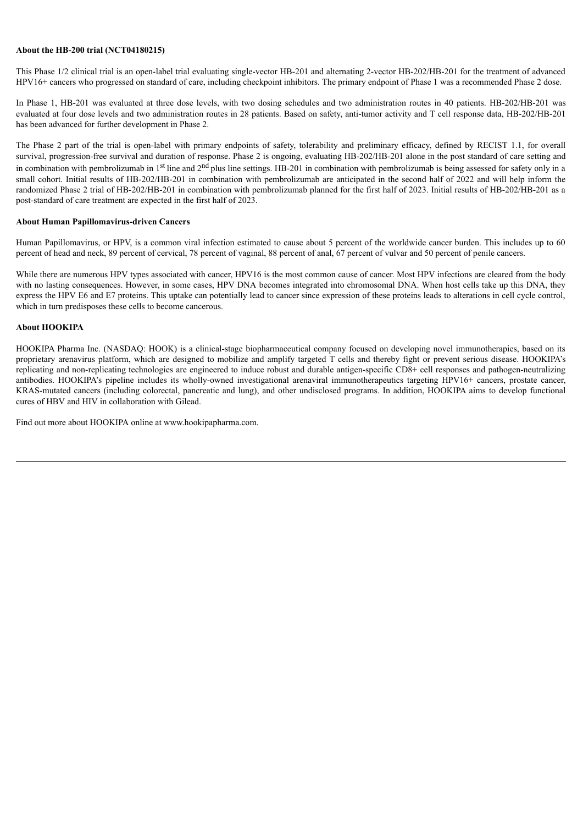### **About the HB-200 trial (NCT04180215)**

This Phase 1/2 clinical trial is an open-label trial evaluating single-vector HB-201 and alternating 2-vector HB-202/HB-201 for the treatment of advanced HPV16+ cancers who progressed on standard of care, including checkpoint inhibitors. The primary endpoint of Phase 1 was a recommended Phase 2 dose.

In Phase 1, HB-201 was evaluated at three dose levels, with two dosing schedules and two administration routes in 40 patients. HB-202/HB-201 was evaluated at four dose levels and two administration routes in 28 patients. Based on safety, anti-tumor activity and T cell response data, HB-202/HB-201 has been advanced for further development in Phase 2.

The Phase 2 part of the trial is open-label with primary endpoints of safety, tolerability and preliminary efficacy, defined by RECIST 1.1, for overall survival, progression-free survival and duration of response. Phase 2 is ongoing, evaluating HB-202/HB-201 alone in the post standard of care setting and in combination with pembrolizumab in  $1<sup>st</sup>$  line and  $2<sup>nd</sup>$  plus line settings. HB-201 in combination with pembrolizumab is being assessed for safety only in a small cohort. Initial results of HB-202/HB-201 in combination with pembrolizumab are anticipated in the second half of 2022 and will help inform the randomized Phase 2 trial of HB-202/HB-201 in combination with pembrolizumab planned for the first half of 2023. Initial results of HB-202/HB-201 as a post-standard of care treatment are expected in the first half of 2023.

### **About Human Papillomavirus-driven Cancers**

Human Papillomavirus, or HPV, is a common viral infection estimated to cause about 5 percent of the worldwide cancer burden. This includes up to 60 percent of head and neck, 89 percent of cervical, 78 percent of vaginal, 88 percent of anal, 67 percent of vulvar and 50 percent of penile cancers.

While there are numerous HPV types associated with cancer, HPV16 is the most common cause of cancer. Most HPV infections are cleared from the body with no lasting consequences. However, in some cases, HPV DNA becomes integrated into chromosomal DNA. When host cells take up this DNA, they express the HPV E6 and E7 proteins. This uptake can potentially lead to cancer since expression of these proteins leads to alterations in cell cycle control, which in turn predisposes these cells to become cancerous.

# **About HOOKIPA**

HOOKIPA Pharma Inc. (NASDAQ: HOOK) is a clinical-stage biopharmaceutical company focused on developing novel immunotherapies, based on its proprietary arenavirus platform, which are designed to mobilize and amplify targeted T cells and thereby fight or prevent serious disease. HOOKIPA's replicating and non-replicating technologies are engineered to induce robust and durable antigen-specific CD8+ cell responses and pathogen-neutralizing antibodies. HOOKIPA's pipeline includes its wholly-owned investigational arenaviral immunotherapeutics targeting HPV16+ cancers, prostate cancer, KRAS-mutated cancers (including colorectal, pancreatic and lung), and other undisclosed programs. In addition, HOOKIPA aims to develop functional cures of HBV and HIV in collaboration with Gilead.

Find out more about HOOKIPA online at www.hookipapharma.com.